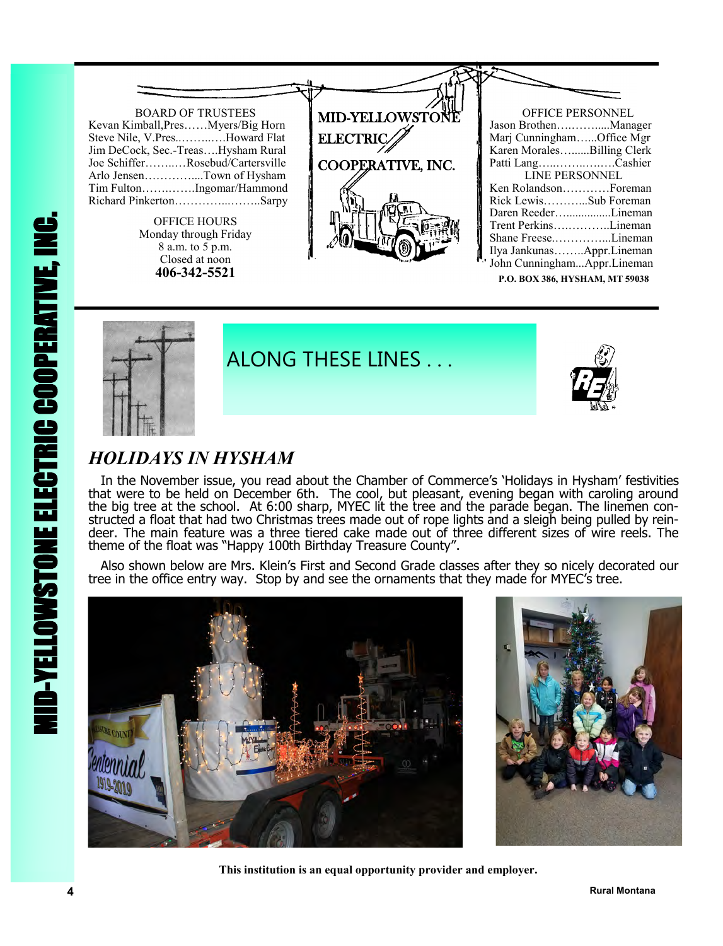



ALONG THESE LINES . . .



## *HOLIDAYS IN HYSHAM*

 In the November issue, you read about the Chamber of Commerce's 'Holidays in Hysham' festivities that were to be held on December 6th. The cool, but pleasant, evening began with caroling around the big tree at the school. At 6:00 sharp, MYEC lit the tree and the parade began. The linemen constructed a float that had two Christmas trees made out of rope lights and a sleigh being pulled by reindeer. The main feature was a three tiered cake made out of three different sizes of wire reels. The theme of the float was "Happy 100th Birthday Treasure County".

 Also shown below are Mrs. Klein's First and Second Grade classes after they so nicely decorated our tree in the office entry way. Stop by and see the ornaments that they made for MYEC's tree.





 **This institution is an equal opportunity provider and employer.**